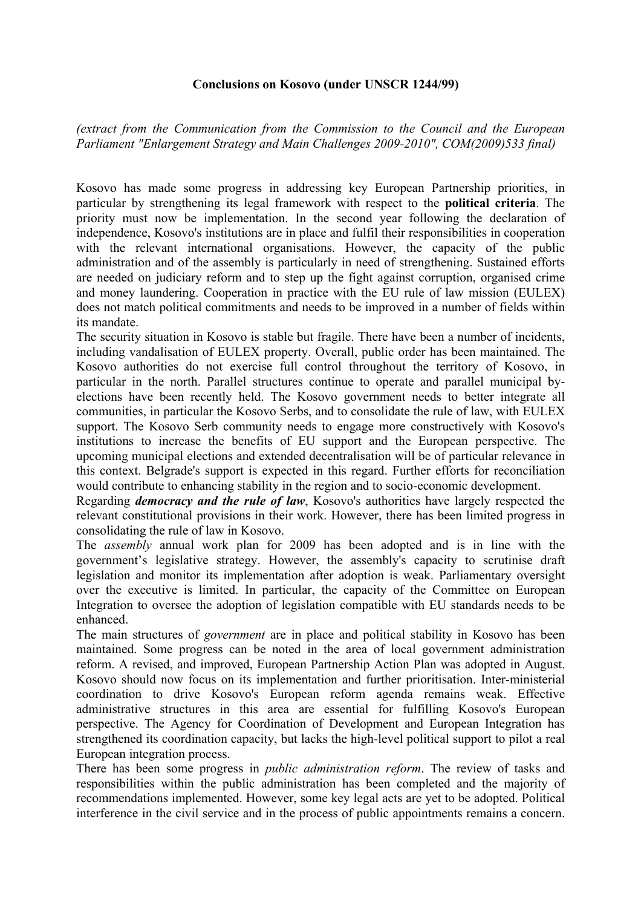## **Conclusions on Kosovo (under UNSCR 1244/99)**

*(extract from the Communication from the Commission to the Council and the European Parliament "Enlargement Strategy and Main Challenges 2009-2010", COM(2009)533 final)* 

Kosovo has made some progress in addressing key European Partnership priorities, in particular by strengthening its legal framework with respect to the **political criteria**. The priority must now be implementation. In the second year following the declaration of independence, Kosovo's institutions are in place and fulfil their responsibilities in cooperation with the relevant international organisations. However, the capacity of the public administration and of the assembly is particularly in need of strengthening. Sustained efforts are needed on judiciary reform and to step up the fight against corruption, organised crime and money laundering. Cooperation in practice with the EU rule of law mission (EULEX) does not match political commitments and needs to be improved in a number of fields within its mandate.

The security situation in Kosovo is stable but fragile. There have been a number of incidents, including vandalisation of EULEX property. Overall, public order has been maintained. The Kosovo authorities do not exercise full control throughout the territory of Kosovo, in particular in the north. Parallel structures continue to operate and parallel municipal byelections have been recently held. The Kosovo government needs to better integrate all communities, in particular the Kosovo Serbs, and to consolidate the rule of law, with EULEX support. The Kosovo Serb community needs to engage more constructively with Kosovo's institutions to increase the benefits of EU support and the European perspective. The upcoming municipal elections and extended decentralisation will be of particular relevance in this context. Belgrade's support is expected in this regard. Further efforts for reconciliation would contribute to enhancing stability in the region and to socio-economic development.

Regarding *democracy and the rule of law*, Kosovo's authorities have largely respected the relevant constitutional provisions in their work. However, there has been limited progress in consolidating the rule of law in Kosovo.

The *assembly* annual work plan for 2009 has been adopted and is in line with the government's legislative strategy. However, the assembly's capacity to scrutinise draft legislation and monitor its implementation after adoption is weak. Parliamentary oversight over the executive is limited. In particular, the capacity of the Committee on European Integration to oversee the adoption of legislation compatible with EU standards needs to be enhanced.

The main structures of *government* are in place and political stability in Kosovo has been maintained. Some progress can be noted in the area of local government administration reform. A revised, and improved, European Partnership Action Plan was adopted in August. Kosovo should now focus on its implementation and further prioritisation. Inter-ministerial coordination to drive Kosovo's European reform agenda remains weak. Effective administrative structures in this area are essential for fulfilling Kosovo's European perspective. The Agency for Coordination of Development and European Integration has strengthened its coordination capacity, but lacks the high-level political support to pilot a real European integration process.

There has been some progress in *public administration reform*. The review of tasks and responsibilities within the public administration has been completed and the majority of recommendations implemented. However, some key legal acts are yet to be adopted. Political interference in the civil service and in the process of public appointments remains a concern.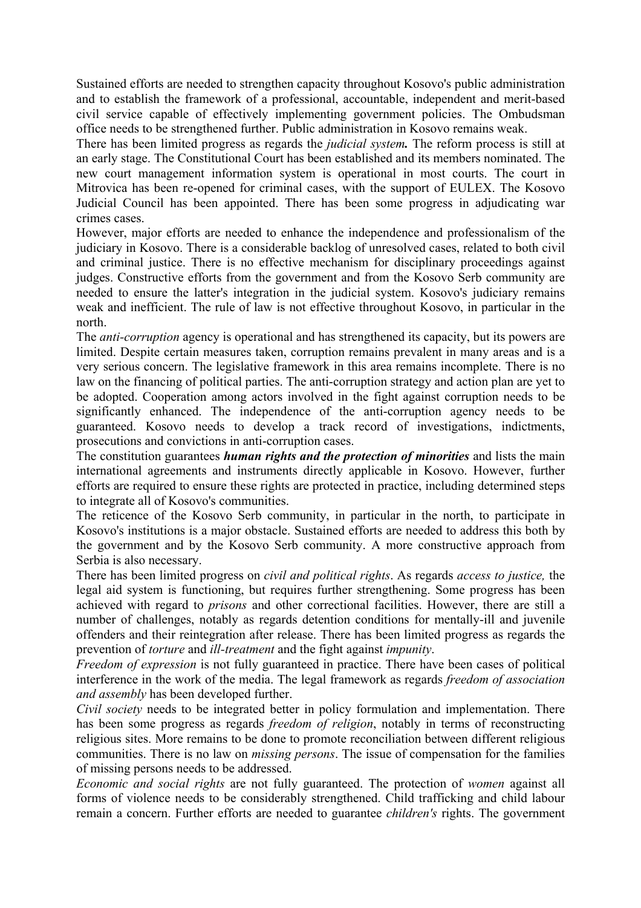Sustained efforts are needed to strengthen capacity throughout Kosovo's public administration and to establish the framework of a professional, accountable, independent and merit-based civil service capable of effectively implementing government policies. The Ombudsman office needs to be strengthened further. Public administration in Kosovo remains weak.

There has been limited progress as regards the *judicial system.* The reform process is still at an early stage. The Constitutional Court has been established and its members nominated. The new court management information system is operational in most courts. The court in Mitrovica has been re-opened for criminal cases, with the support of EULEX. The Kosovo Judicial Council has been appointed. There has been some progress in adjudicating war crimes cases.

However, major efforts are needed to enhance the independence and professionalism of the judiciary in Kosovo. There is a considerable backlog of unresolved cases, related to both civil and criminal justice. There is no effective mechanism for disciplinary proceedings against judges. Constructive efforts from the government and from the Kosovo Serb community are needed to ensure the latter's integration in the judicial system. Kosovo's judiciary remains weak and inefficient. The rule of law is not effective throughout Kosovo, in particular in the north.

The *anti-corruption* agency is operational and has strengthened its capacity, but its powers are limited. Despite certain measures taken, corruption remains prevalent in many areas and is a very serious concern. The legislative framework in this area remains incomplete. There is no law on the financing of political parties. The anti-corruption strategy and action plan are yet to be adopted. Cooperation among actors involved in the fight against corruption needs to be significantly enhanced. The independence of the anti-corruption agency needs to be guaranteed. Kosovo needs to develop a track record of investigations, indictments, prosecutions and convictions in anti-corruption cases.

The constitution guarantees *human rights and the protection of minorities* and lists the main international agreements and instruments directly applicable in Kosovo. However, further efforts are required to ensure these rights are protected in practice, including determined steps to integrate all of Kosovo's communities.

The reticence of the Kosovo Serb community, in particular in the north, to participate in Kosovo's institutions is a major obstacle. Sustained efforts are needed to address this both by the government and by the Kosovo Serb community. A more constructive approach from Serbia is also necessary.

There has been limited progress on *civil and political rights*. As regards *access to justice,* the legal aid system is functioning, but requires further strengthening. Some progress has been achieved with regard to *prisons* and other correctional facilities. However, there are still a number of challenges, notably as regards detention conditions for mentally-ill and juvenile offenders and their reintegration after release. There has been limited progress as regards the prevention of *torture* and *ill-treatment* and the fight against *impunity*.

*Freedom of expression* is not fully guaranteed in practice. There have been cases of political interference in the work of the media. The legal framework as regards *freedom of association and assembly* has been developed further.

*Civil society* needs to be integrated better in policy formulation and implementation. There has been some progress as regards *freedom of religion*, notably in terms of reconstructing religious sites. More remains to be done to promote reconciliation between different religious communities. There is no law on *missing persons*. The issue of compensation for the families of missing persons needs to be addressed.

*Economic and social rights* are not fully guaranteed. The protection of *women* against all forms of violence needs to be considerably strengthened. Child trafficking and child labour remain a concern. Further efforts are needed to guarantee *children's* rights. The government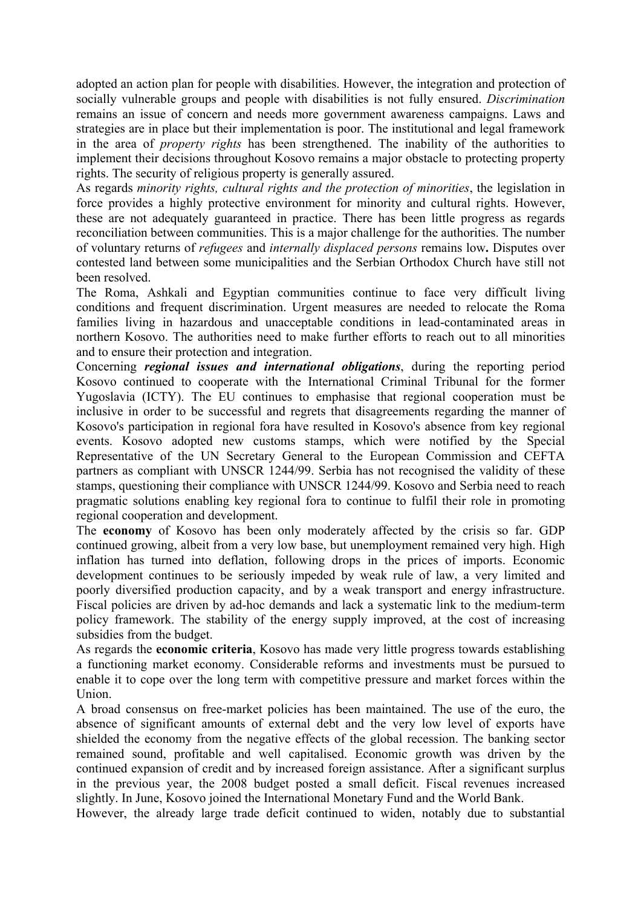adopted an action plan for people with disabilities. However, the integration and protection of socially vulnerable groups and people with disabilities is not fully ensured. *Discrimination* remains an issue of concern and needs more government awareness campaigns. Laws and strategies are in place but their implementation is poor. The institutional and legal framework in the area of *property rights* has been strengthened. The inability of the authorities to implement their decisions throughout Kosovo remains a major obstacle to protecting property rights. The security of religious property is generally assured.

As regards *minority rights, cultural rights and the protection of minorities*, the legislation in force provides a highly protective environment for minority and cultural rights. However, these are not adequately guaranteed in practice. There has been little progress as regards reconciliation between communities. This is a major challenge for the authorities. The number of voluntary returns of *refugees* and *internally displaced persons* remains low**.** Disputes over contested land between some municipalities and the Serbian Orthodox Church have still not been resolved.

The Roma, Ashkali and Egyptian communities continue to face very difficult living conditions and frequent discrimination. Urgent measures are needed to relocate the Roma families living in hazardous and unacceptable conditions in lead-contaminated areas in northern Kosovo. The authorities need to make further efforts to reach out to all minorities and to ensure their protection and integration.

Concerning *regional issues and international obligations*, during the reporting period Kosovo continued to cooperate with the International Criminal Tribunal for the former Yugoslavia (ICTY). The EU continues to emphasise that regional cooperation must be inclusive in order to be successful and regrets that disagreements regarding the manner of Kosovo's participation in regional fora have resulted in Kosovo's absence from key regional events. Kosovo adopted new customs stamps, which were notified by the Special Representative of the UN Secretary General to the European Commission and CEFTA partners as compliant with UNSCR 1244/99. Serbia has not recognised the validity of these stamps, questioning their compliance with UNSCR 1244/99. Kosovo and Serbia need to reach pragmatic solutions enabling key regional fora to continue to fulfil their role in promoting regional cooperation and development.

The **economy** of Kosovo has been only moderately affected by the crisis so far. GDP continued growing, albeit from a very low base, but unemployment remained very high. High inflation has turned into deflation, following drops in the prices of imports. Economic development continues to be seriously impeded by weak rule of law, a very limited and poorly diversified production capacity, and by a weak transport and energy infrastructure. Fiscal policies are driven by ad-hoc demands and lack a systematic link to the medium-term policy framework. The stability of the energy supply improved, at the cost of increasing subsidies from the budget.

As regards the **economic criteria**, Kosovo has made very little progress towards establishing a functioning market economy. Considerable reforms and investments must be pursued to enable it to cope over the long term with competitive pressure and market forces within the Union.

A broad consensus on free-market policies has been maintained. The use of the euro, the absence of significant amounts of external debt and the very low level of exports have shielded the economy from the negative effects of the global recession. The banking sector remained sound, profitable and well capitalised. Economic growth was driven by the continued expansion of credit and by increased foreign assistance. After a significant surplus in the previous year, the 2008 budget posted a small deficit. Fiscal revenues increased slightly. In June, Kosovo joined the International Monetary Fund and the World Bank.

However, the already large trade deficit continued to widen, notably due to substantial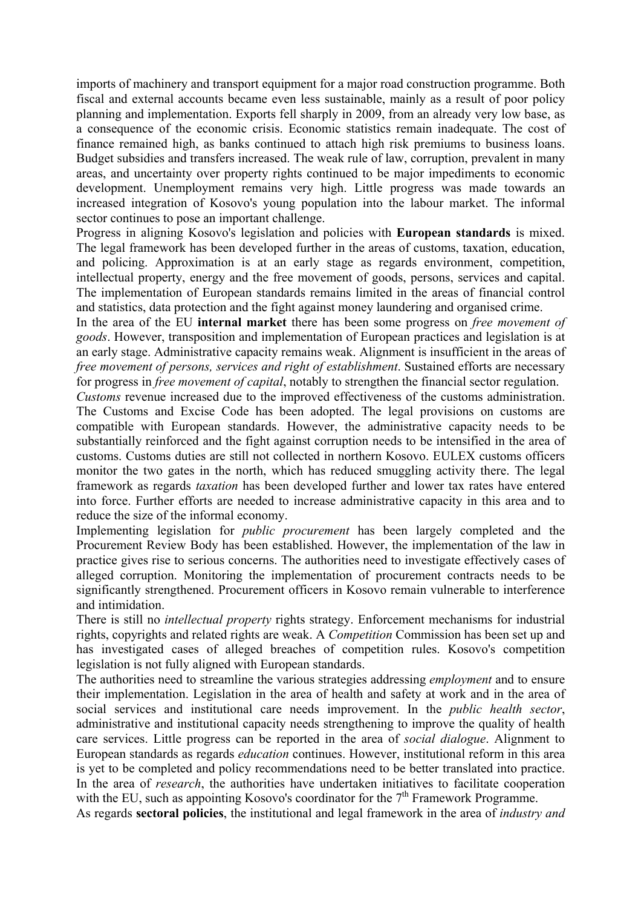imports of machinery and transport equipment for a major road construction programme. Both fiscal and external accounts became even less sustainable, mainly as a result of poor policy planning and implementation. Exports fell sharply in 2009, from an already very low base, as a consequence of the economic crisis. Economic statistics remain inadequate. The cost of finance remained high, as banks continued to attach high risk premiums to business loans. Budget subsidies and transfers increased. The weak rule of law, corruption, prevalent in many areas, and uncertainty over property rights continued to be major impediments to economic development. Unemployment remains very high. Little progress was made towards an increased integration of Kosovo's young population into the labour market. The informal sector continues to pose an important challenge.

Progress in aligning Kosovo's legislation and policies with **European standards** is mixed. The legal framework has been developed further in the areas of customs, taxation, education, and policing. Approximation is at an early stage as regards environment, competition, intellectual property, energy and the free movement of goods, persons, services and capital. The implementation of European standards remains limited in the areas of financial control and statistics, data protection and the fight against money laundering and organised crime.

In the area of the EU **internal market** there has been some progress on *free movement of goods*. However, transposition and implementation of European practices and legislation is at an early stage. Administrative capacity remains weak. Alignment is insufficient in the areas of *free movement of persons, services and right of establishment*. Sustained efforts are necessary for progress in *free movement of capital*, notably to strengthen the financial sector regulation.

*Customs* revenue increased due to the improved effectiveness of the customs administration. The Customs and Excise Code has been adopted. The legal provisions on customs are compatible with European standards. However, the administrative capacity needs to be substantially reinforced and the fight against corruption needs to be intensified in the area of customs. Customs duties are still not collected in northern Kosovo. EULEX customs officers monitor the two gates in the north, which has reduced smuggling activity there. The legal framework as regards *taxation* has been developed further and lower tax rates have entered into force. Further efforts are needed to increase administrative capacity in this area and to reduce the size of the informal economy.

Implementing legislation for *public procurement* has been largely completed and the Procurement Review Body has been established. However, the implementation of the law in practice gives rise to serious concerns. The authorities need to investigate effectively cases of alleged corruption. Monitoring the implementation of procurement contracts needs to be significantly strengthened. Procurement officers in Kosovo remain vulnerable to interference and intimidation.

There is still no *intellectual property* rights strategy. Enforcement mechanisms for industrial rights, copyrights and related rights are weak. A *Competition* Commission has been set up and has investigated cases of alleged breaches of competition rules. Kosovo's competition legislation is not fully aligned with European standards.

The authorities need to streamline the various strategies addressing *employment* and to ensure their implementation. Legislation in the area of health and safety at work and in the area of social services and institutional care needs improvement. In the *public health sector*, administrative and institutional capacity needs strengthening to improve the quality of health care services. Little progress can be reported in the area of *social dialogue*. Alignment to European standards as regards *education* continues. However, institutional reform in this area is yet to be completed and policy recommendations need to be better translated into practice. In the area of *research*, the authorities have undertaken initiatives to facilitate cooperation with the EU, such as appointing Kosovo's coordinator for the  $7<sup>th</sup>$  Framework Programme.

As regards **sectoral policies**, the institutional and legal framework in the area of *industry and*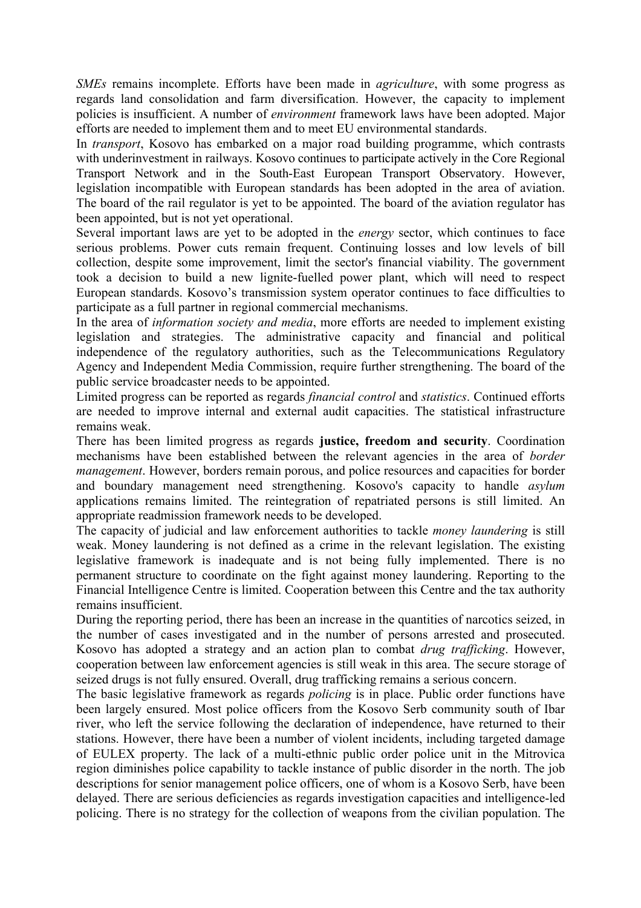*SMEs* remains incomplete. Efforts have been made in *agriculture*, with some progress as regards land consolidation and farm diversification. However, the capacity to implement policies is insufficient. A number of *environment* framework laws have been adopted. Major efforts are needed to implement them and to meet EU environmental standards.

In *transport*, Kosovo has embarked on a major road building programme, which contrasts with underinvestment in railways. Kosovo continues to participate actively in the Core Regional Transport Network and in the South-East European Transport Observatory. However, legislation incompatible with European standards has been adopted in the area of aviation. The board of the rail regulator is yet to be appointed. The board of the aviation regulator has been appointed, but is not yet operational.

Several important laws are yet to be adopted in the *energy* sector, which continues to face serious problems. Power cuts remain frequent. Continuing losses and low levels of bill collection, despite some improvement, limit the sector's financial viability. The government took a decision to build a new lignite-fuelled power plant, which will need to respect European standards. Kosovo's transmission system operator continues to face difficulties to participate as a full partner in regional commercial mechanisms.

In the area of *information society and media*, more efforts are needed to implement existing legislation and strategies. The administrative capacity and financial and political independence of the regulatory authorities, such as the Telecommunications Regulatory Agency and Independent Media Commission, require further strengthening. The board of the public service broadcaster needs to be appointed.

Limited progress can be reported as regards *financial control* and *statistics*. Continued efforts are needed to improve internal and external audit capacities. The statistical infrastructure remains weak.

There has been limited progress as regards **justice, freedom and security**. Coordination mechanisms have been established between the relevant agencies in the area of *border management*. However, borders remain porous, and police resources and capacities for border and boundary management need strengthening. Kosovo's capacity to handle *asylum*  applications remains limited. The reintegration of repatriated persons is still limited. An appropriate readmission framework needs to be developed.

The capacity of judicial and law enforcement authorities to tackle *money laundering* is still weak. Money laundering is not defined as a crime in the relevant legislation. The existing legislative framework is inadequate and is not being fully implemented. There is no permanent structure to coordinate on the fight against money laundering. Reporting to the Financial Intelligence Centre is limited. Cooperation between this Centre and the tax authority remains insufficient.

During the reporting period, there has been an increase in the quantities of narcotics seized, in the number of cases investigated and in the number of persons arrested and prosecuted. Kosovo has adopted a strategy and an action plan to combat *drug trafficking*. However, cooperation between law enforcement agencies is still weak in this area. The secure storage of seized drugs is not fully ensured. Overall, drug trafficking remains a serious concern.

The basic legislative framework as regards *policing* is in place. Public order functions have been largely ensured. Most police officers from the Kosovo Serb community south of Ibar river, who left the service following the declaration of independence, have returned to their stations. However, there have been a number of violent incidents, including targeted damage of EULEX property. The lack of a multi-ethnic public order police unit in the Mitrovica region diminishes police capability to tackle instance of public disorder in the north. The job descriptions for senior management police officers, one of whom is a Kosovo Serb, have been delayed. There are serious deficiencies as regards investigation capacities and intelligence-led policing. There is no strategy for the collection of weapons from the civilian population. The